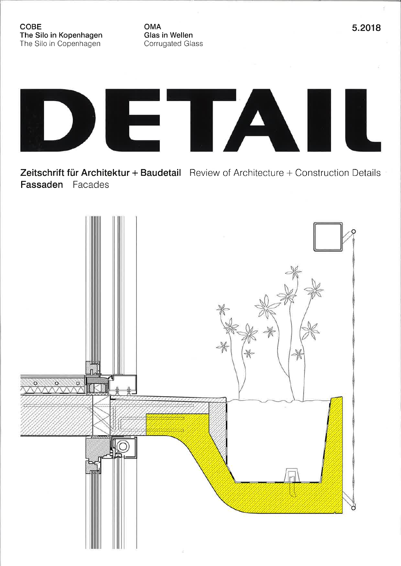**OMA** Glas in Wellen Corrugated Glass



Zeitschrift für Architektur + Baudetail Review of Architecture + Construction Details Fassaden Facades